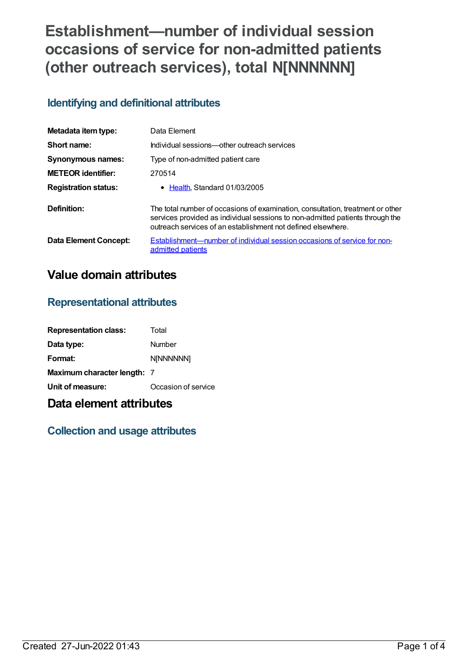# **Establishment—number of individual session occasions of service for non-admitted patients (other outreach services), total N[NNNNNN]**

### **Identifying and definitional attributes**

| Metadata item type:         | Data Element                                                                                                                                                                                                                    |
|-----------------------------|---------------------------------------------------------------------------------------------------------------------------------------------------------------------------------------------------------------------------------|
| Short name:                 | Individual sessions—other outreach services                                                                                                                                                                                     |
| <b>Synonymous names:</b>    | Type of non-admitted patient care                                                                                                                                                                                               |
| <b>METEOR</b> identifier:   | 270514                                                                                                                                                                                                                          |
| <b>Registration status:</b> | • Health, Standard 01/03/2005                                                                                                                                                                                                   |
| Definition:                 | The total number of occasions of examination, consultation, treatment or other<br>services provided as individual sessions to non-admitted patients through the<br>outreach services of an establishment not defined elsewhere. |
| Data Element Concept:       | <b>Establishment—number of individual session occasions of service for non-</b><br>admitted patients                                                                                                                            |

# **Value domain attributes**

#### **Representational attributes**

| <b>Representation class:</b> | Total               |
|------------------------------|---------------------|
| Data type:                   | Number              |
| Format:                      | <b>N[NNNNNN]</b>    |
| Maximum character length: 7  |                     |
| Unit of measure:             | Occasion of service |

## **Data element attributes**

#### **Collection and usage attributes**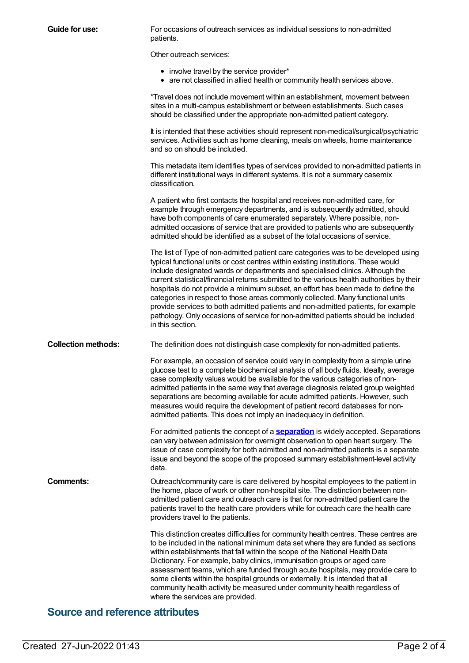| Guide for use:             | For occasions of outreach services as individual sessions to non-admitted<br>patients.                                                                                                                                                                                                                                                                                                                                                                                                                                                                                                                                                                                                                                      |
|----------------------------|-----------------------------------------------------------------------------------------------------------------------------------------------------------------------------------------------------------------------------------------------------------------------------------------------------------------------------------------------------------------------------------------------------------------------------------------------------------------------------------------------------------------------------------------------------------------------------------------------------------------------------------------------------------------------------------------------------------------------------|
|                            | Other outreach services:                                                                                                                                                                                                                                                                                                                                                                                                                                                                                                                                                                                                                                                                                                    |
|                            | • involve travel by the service provider*<br>• are not classified in allied health or community health services above.                                                                                                                                                                                                                                                                                                                                                                                                                                                                                                                                                                                                      |
|                            | *Travel does not include movement within an establishment, movement between<br>sites in a multi-campus establishment or between establishments. Such cases<br>should be classified under the appropriate non-admitted patient category.                                                                                                                                                                                                                                                                                                                                                                                                                                                                                     |
|                            | It is intended that these activities should represent non-medical/surgical/psychiatric<br>services. Activities such as home cleaning, meals on wheels, home maintenance<br>and so on should be included.                                                                                                                                                                                                                                                                                                                                                                                                                                                                                                                    |
|                            | This metadata item identifies types of services provided to non-admitted patients in<br>different institutional ways in different systems. It is not a summary casemix<br>classification.                                                                                                                                                                                                                                                                                                                                                                                                                                                                                                                                   |
|                            | A patient who first contacts the hospital and receives non-admitted care, for<br>example through emergency departments, and is subsequently admitted, should<br>have both components of care enumerated separately. Where possible, non-<br>admitted occasions of service that are provided to patients who are subsequently<br>admitted should be identified as a subset of the total occasions of service.                                                                                                                                                                                                                                                                                                                |
|                            | The list of Type of non-admitted patient care categories was to be developed using<br>typical functional units or cost centres within existing institutions. These would<br>include designated wards or departments and specialised clinics. Although the<br>current statistical/financial returns submitted to the various health authorities by their<br>hospitals do not provide a minimum subset, an effort has been made to define the<br>categories in respect to those areas commonly collected. Many functional units<br>provide services to both admitted patients and non-admitted patients, for example<br>pathology. Only occasions of service for non-admitted patients should be included<br>in this section. |
| <b>Collection methods:</b> | The definition does not distinguish case complexity for non-admitted patients.                                                                                                                                                                                                                                                                                                                                                                                                                                                                                                                                                                                                                                              |
|                            | For example, an occasion of service could vary in complexity from a simple urine<br>glucose test to a complete biochemical analysis of all body fluids. Ideally, average<br>case complexity values would be available for the various categories of non-<br>admitted patients in the same way that average diagnosis related group weighted<br>separations are becoming available for acute admitted patients. However, such<br>measures would require the development of patient record databases for non-<br>admitted patients. This does not imply an inadequacy in definition.                                                                                                                                          |
|                            | For admitted patients the concept of a <b>separation</b> is widely accepted. Separations<br>can vary between admission for overnight observation to open heart surgery. The<br>issue of case complexity for both admitted and non-admitted patients is a separate<br>issue and beyond the scope of the proposed summary establishment-level activity<br>data.                                                                                                                                                                                                                                                                                                                                                               |
| Comments:                  | Outreach/community care is care delivered by hospital employees to the patient in<br>the home, place of work or other non-hospital site. The distinction between non-<br>admitted patient care and outreach care is that for non-admitted patient care the<br>patients travel to the health care providers while for outreach care the health care<br>providers travel to the patients.                                                                                                                                                                                                                                                                                                                                     |
|                            | This distinction creates difficulties for community health centres. These centres are<br>to be included in the national minimum data set where they are funded as sections<br>within establishments that fall within the scope of the National Health Data<br>Dictionary. For example, baby clinics, immunisation groups or aged care<br>assessment teams, which are funded through acute hospitals, may provide care to<br>some clients within the hospital grounds or externally. It is intended that all<br>community health activity be measured under community health regardless of<br>where the services are provided.                                                                                               |

## **Source and reference attributes**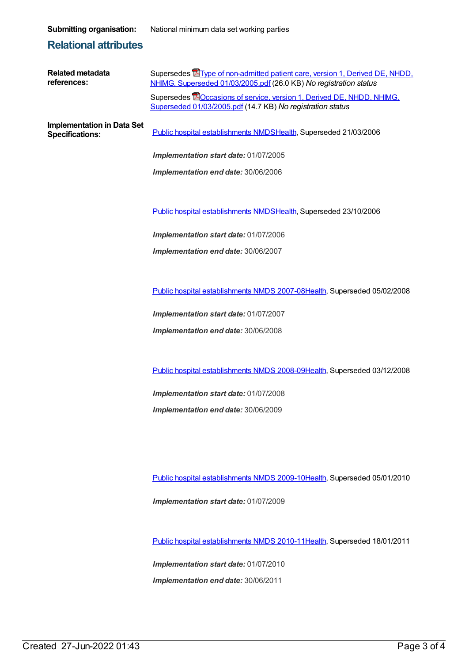**Submitting organisation:** National minimum data set working parties

#### **Relational attributes**

| <b>Related metadata</b><br>references:                      | Supersedes <b>E</b> Type of non-admitted patient care, version 1, Derived DE, NHDD,<br>NHIMG, Superseded 01/03/2005.pdf (26.0 KB) No registration status |
|-------------------------------------------------------------|----------------------------------------------------------------------------------------------------------------------------------------------------------|
|                                                             | Supersedes <b>EO</b> ccasions of service, version 1, Derived DE, NHDD, NHIMG,<br>Superseded 01/03/2005.pdf (14.7 KB) No registration status              |
| <b>Implementation in Data Set</b><br><b>Specifications:</b> | Public hospital establishments NMDSHealth, Superseded 21/03/2006                                                                                         |
|                                                             | Implementation start date: 01/07/2005                                                                                                                    |
|                                                             | Implementation end date: 30/06/2006                                                                                                                      |
|                                                             |                                                                                                                                                          |
|                                                             | Public hospital establishments NMDSHealth, Superseded 23/10/2006                                                                                         |
|                                                             | Implementation start date: 01/07/2006                                                                                                                    |
|                                                             | Implementation end date: 30/06/2007                                                                                                                      |
|                                                             |                                                                                                                                                          |
|                                                             | Public hospital establishments NMDS 2007-08Health, Superseded 05/02/2008                                                                                 |
|                                                             | Implementation start date: 01/07/2007                                                                                                                    |
|                                                             | Implementation end date: 30/06/2008                                                                                                                      |
|                                                             |                                                                                                                                                          |
|                                                             | Public hospital establishments NMDS 2008-09Health, Superseded 03/12/2008                                                                                 |

*Implementation start date:* 01/07/2008 *Implementation end date:* 30/06/2009

Public hospital [establishments](https://meteor.aihw.gov.au/content/374924) NMDS 2009-10[Health](https://meteor.aihw.gov.au/RegistrationAuthority/12), Superseded 05/01/2010

*Implementation start date:* 01/07/2009

Public hospital [establishments](https://meteor.aihw.gov.au/content/386794) NMDS 2010-11[Health](https://meteor.aihw.gov.au/RegistrationAuthority/12), Superseded 18/01/2011

*Implementation start date:* 01/07/2010 *Implementation end date:* 30/06/2011